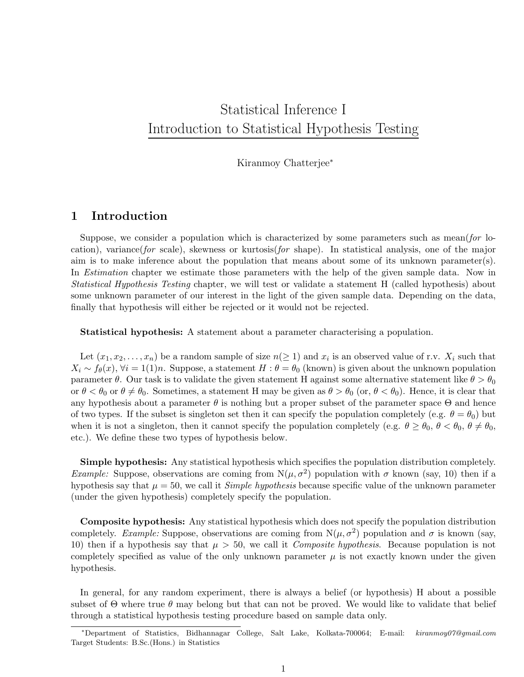# Statistical Inference I Introduction to Statistical Hypothesis Testing

Kiranmoy Chatterjee<sup>∗</sup>

## 1 Introduction

Suppose, we consider a population which is characterized by some parameters such as mean(for location), variance(for scale), skewness or kurtosis(for shape). In statistical analysis, one of the major aim is to make inference about the population that means about some of its unknown parameter(s). In *Estimation* chapter we estimate those parameters with the help of the given sample data. Now in Statistical Hypothesis Testing chapter, we will test or validate a statement H (called hypothesis) about some unknown parameter of our interest in the light of the given sample data. Depending on the data, finally that hypothesis will either be rejected or it would not be rejected.

Statistical hypothesis: A statement about a parameter characterising a population.

Let  $(x_1, x_2, \ldots, x_n)$  be a random sample of size  $n(\geq 1)$  and  $x_i$  is an observed value of r.v.  $X_i$  such that  $X_i \sim f_\theta(x), \forall i = 1(1)n$ . Suppose, a statement  $H : \theta = \theta_0$  (known) is given about the unknown population parameter  $\theta$ . Our task is to validate the given statement H against some alternative statement like  $\theta > \theta_0$ or  $\theta < \theta_0$  or  $\theta \neq \theta_0$ . Sometimes, a statement H may be given as  $\theta > \theta_0$  (or,  $\theta < \theta_0$ ). Hence, it is clear that any hypothesis about a parameter  $\theta$  is nothing but a proper subset of the parameter space  $\Theta$  and hence of two types. If the subset is singleton set then it can specify the population completely (e.g.  $\theta = \theta_0$ ) but when it is not a singleton, then it cannot specify the population completely (e.g.  $\theta \ge \theta_0$ ,  $\theta < \theta_0$ ,  $\theta \ne \theta_0$ , etc.). We define these two types of hypothesis below.

Simple hypothesis: Any statistical hypothesis which specifies the population distribution completely. *Example:* Suppose, observations are coming from  $N(\mu, \sigma^2)$  population with  $\sigma$  known (say, 10) then if a hypothesis say that  $\mu = 50$ , we call it *Simple hypothesis* because specific value of the unknown parameter (under the given hypothesis) completely specify the population.

Composite hypothesis: Any statistical hypothesis which does not specify the population distribution completely. *Example:* Suppose, observations are coming from  $N(\mu, \sigma^2)$  population and  $\sigma$  is known (say, 10) then if a hypothesis say that  $\mu > 50$ , we call it *Composite hypothesis*. Because population is not completely specified as value of the only unknown parameter  $\mu$  is not exactly known under the given hypothesis.

In general, for any random experiment, there is always a belief (or hypothesis) H about a possible subset of  $\Theta$  where true  $\theta$  may belong but that can not be proved. We would like to validate that belief through a statistical hypothesis testing procedure based on sample data only.

<sup>∗</sup>Department of Statistics, Bidhannagar College, Salt Lake, Kolkata-700064; E-mail: kiranmoy07@gmail.com Target Students: B.Sc.(Hons.) in Statistics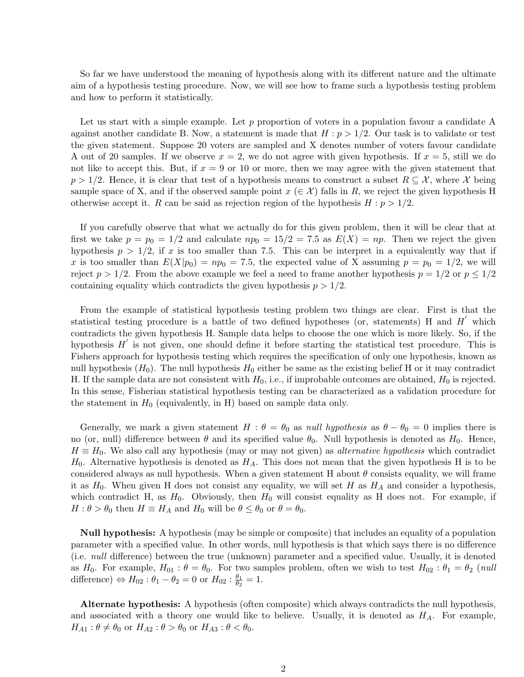So far we have understood the meaning of hypothesis along with its different nature and the ultimate aim of a hypothesis testing procedure. Now, we will see how to frame such a hypothesis testing problem and how to perform it statistically.

Let us start with a simple example. Let  $p$  proportion of voters in a population favour a candidate A against another candidate B. Now, a statement is made that  $H : p > 1/2$ . Our task is to validate or test the given statement. Suppose 20 voters are sampled and X denotes number of voters favour candidate A out of 20 samples. If we observe  $x = 2$ , we do not agree with given hypothesis. If  $x = 5$ , still we do not like to accept this. But, if  $x = 9$  or 10 or more, then we may agree with the given statement that  $p > 1/2$ . Hence, it is clear that test of a hypothesis means to construct a subset  $R \subseteq \mathcal{X}$ , where X being sample space of X, and if the observed sample point  $x \in \mathcal{X}$  falls in R, we reject the given hypothesis H otherwise accept it. R can be said as rejection region of the hypothesis  $H : p > 1/2$ .

If you carefully observe that what we actually do for this given problem, then it will be clear that at first we take  $p = p_0 = 1/2$  and calculate  $np_0 = 15/2 = 7.5$  as  $E(X) = np$ . Then we reject the given hypothesis  $p > 1/2$ , if x is too smaller than 7.5. This can be interpret in a equivalently way that if x is too smaller than  $E(X|p_0) = np_0 = 7.5$ , the expected value of X assuming  $p = p_0 = 1/2$ , we will reject  $p > 1/2$ . From the above example we feel a need to frame another hypothesis  $p = 1/2$  or  $p \le 1/2$ containing equality which contradicts the given hypothesis  $p > 1/2$ .

From the example of statistical hypothesis testing problem two things are clear. First is that the statistical testing procedure is a battle of two defined hypotheses (or, statements) H and  $H'$  which contradicts the given hypothesis H. Sample data helps to choose the one which is more likely. So, if the hypothesis  $H'$  is not given, one should define it before starting the statistical test procedure. This is Fishers approach for hypothesis testing which requires the specification of only one hypothesis, known as null hypothesis  $(H_0)$ . The null hypothesis  $H_0$  either be same as the existing belief H or it may contradict H. If the sample data are not consistent with  $H_0$ , i.e., if improbable outcomes are obtained,  $H_0$  is rejected. In this sense, Fisherian statistical hypothesis testing can be characterized as a validation procedure for the statement in  $H_0$  (equivalently, in H) based on sample data only.

Generally, we mark a given statement  $H : \theta = \theta_0$  as *null hypothesis* as  $\theta - \theta_0 = 0$  implies there is no (or, null) difference between  $\theta$  and its specified value  $\theta_0$ . Null hypothesis is denoted as  $H_0$ . Hence,  $H \equiv H_0$ . We also call any hypothesis (may or may not given) as *alternative hypothesis* which contradict  $H_0$ . Alternative hypothesis is denoted as  $H_A$ . This does not mean that the given hypothesis H is to be considered always as null hypothesis. When a given statement H about  $\theta$  consists equality, we will frame it as  $H_0$ . When given H does not consist any equality, we will set H as  $H_A$  and consider a hypothesis, which contradict H, as  $H_0$ . Obviously, then  $H_0$  will consist equality as H does not. For example, if  $H: \theta > \theta_0$  then  $H \equiv H_A$  and  $H_0$  will be  $\theta \leq \theta_0$  or  $\theta = \theta_0$ .

Null hypothesis: A hypothesis (may be simple or composite) that includes an equality of a population parameter with a specified value. In other words, null hypothesis is that which says there is no difference (i.e. null difference) between the true (unknown) parameter and a specified value. Usually, it is denoted as H<sub>0</sub>. For example,  $H_{01}$ :  $\theta = \theta_0$ . For two samples problem, often we wish to test  $H_{02}$ :  $\theta_1 = \theta_2$  (*null* difference)  $\Leftrightarrow H_{02}$ :  $\theta_1 - \theta_2 = 0$  or  $H_{02}$ :  $\frac{\theta_1}{\theta_2}$  $\frac{\theta_1}{\theta_2}=1.$ 

Alternate hypothesis: A hypothesis (often composite) which always contradicts the null hypothesis, and associated with a theory one would like to believe. Usually, it is denoted as  $H_A$ . For example,  $H_{A1}$ :  $\theta \neq \theta_0$  or  $H_{A2}$ :  $\theta > \theta_0$  or  $H_{A3}$ :  $\theta < \theta_0$ .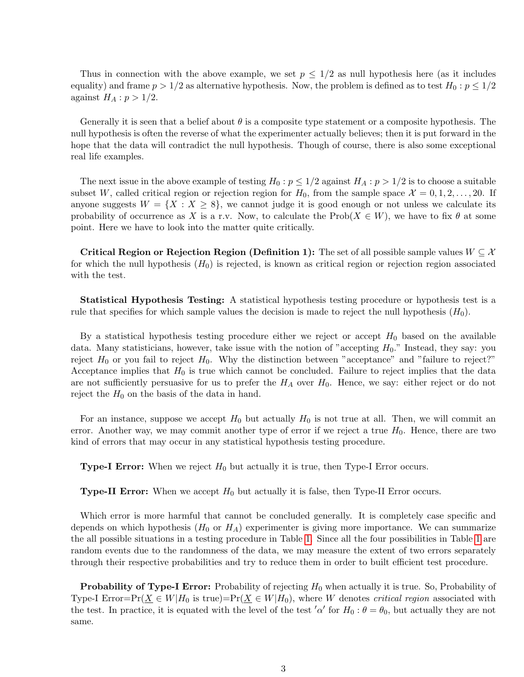Thus in connection with the above example, we set  $p \leq 1/2$  as null hypothesis here (as it includes equality) and frame  $p > 1/2$  as alternative hypothesis. Now, the problem is defined as to test  $H_0: p \leq 1/2$ against  $H_A: p > 1/2$ .

Generally it is seen that a belief about  $\theta$  is a composite type statement or a composite hypothesis. The null hypothesis is often the reverse of what the experimenter actually believes; then it is put forward in the hope that the data will contradict the null hypothesis. Though of course, there is also some exceptional real life examples.

The next issue in the above example of testing  $H_0: p \leq 1/2$  against  $H_A: p > 1/2$  is to choose a suitable subset W, called critical region or rejection region for  $H_0$ , from the sample space  $\mathcal{X} = 0, 1, 2, \ldots, 20$ . If anyone suggests  $W = \{X : X \geq 8\}$ , we cannot judge it is good enough or not unless we calculate its probability of occurrence as X is a r.v. Now, to calculate the Prob( $X \in W$ ), we have to fix  $\theta$  at some point. Here we have to look into the matter quite critically.

Critical Region or Rejection Region (Definition 1): The set of all possible sample values  $W \subseteq \mathcal{X}$ for which the null hypothesis  $(H_0)$  is rejected, is known as critical region or rejection region associated with the test.

Statistical Hypothesis Testing: A statistical hypothesis testing procedure or hypothesis test is a rule that specifies for which sample values the decision is made to reject the null hypothesis  $(H_0)$ .

By a statistical hypothesis testing procedure either we reject or accept  $H_0$  based on the available data. Many statisticians, however, take issue with the notion of "accepting  $H_0$ ." Instead, they say: you reject  $H_0$  or you fail to reject  $H_0$ . Why the distinction between "acceptance" and "failure to reject?" Acceptance implies that  $H_0$  is true which cannot be concluded. Failure to reject implies that the data are not sufficiently persuasive for us to prefer the  $H_A$  over  $H_0$ . Hence, we say: either reject or do not reject the  $H_0$  on the basis of the data in hand.

For an instance, suppose we accept  $H_0$  but actually  $H_0$  is not true at all. Then, we will commit an error. Another way, we may commit another type of error if we reject a true  $H_0$ . Hence, there are two kind of errors that may occur in any statistical hypothesis testing procedure.

**Type-I Error:** When we reject  $H_0$  but actually it is true, then Type-I Error occurs.

**Type-II Error:** When we accept  $H_0$  but actually it is false, then Type-II Error occurs.

<span id="page-2-0"></span>Which error is more harmful that cannot be concluded generally. It is completely case specific and depends on which hypothesis  $(H_0 \text{ or } H_A)$  experimenter is giving more importance. We can summarize the all possible situations in a testing procedure in Table [1.](#page-2-0) Since all the four possibilities in Table [1](#page-2-0) are random events due to the randomness of the data, we may measure the extent of two errors separately through their respective probabilities and try to reduce them in order to built efficient test procedure.

**Probability of Type-I Error:** Probability of rejecting  $H_0$  when actually it is true. So, Probability of Type-I Error=Pr( $\underline{X} \in W|H_0$  is true)=Pr( $\underline{X} \in W|H_0$ ), where W denotes *critical region* associated with the test. In practice, it is equated with the level of the test ' $\alpha'$  for  $H_0$ :  $\theta = \theta_0$ , but actually they are not same.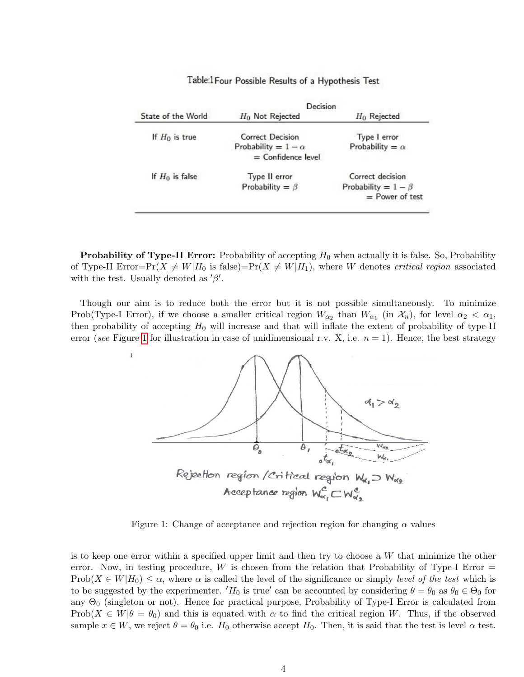|                    | Decision                   |                           |
|--------------------|----------------------------|---------------------------|
| State of the World | $H_0$ Not Rejected         | $H_0$ Rejected            |
| If $H_0$ is true   | Correct Decision           | Type I error              |
|                    | Probability = $1 - \alpha$ | Probability = $\alpha$    |
|                    | $=$ Confidence level       |                           |
| If $H_0$ is false  | Type II error              | Correct decision          |
|                    | Probability = $\beta$      | Probability = $1 - \beta$ |
|                    |                            | $=$ Power of test         |

Table:1 Four Possible Results of a Hypothesis Test

**Probability of Type-II Error:** Probability of accepting  $H_0$  when actually it is false. So, Probability of Type-II Error=Pr( $\underline{X} \neq W|H_0$  is false)=Pr( $\underline{X} \neq W|H_1$ ), where W denotes critical region associated with the test. Usually denoted as  $'\beta'$ .

Though our aim is to reduce both the error but it is not possible simultaneously. To minimize Prob(Type-I Error), if we choose a smaller critical region  $W_{\alpha_2}$  than  $W_{\alpha_1}$  (in  $\mathcal{X}_n$ ), for level  $\alpha_2 < \alpha_1$ , then probability of accepting  $H_0$  will increase and that will inflate the extent of probability of type-II error (see Figure [1](#page-3-0) for illustration in case of unidimensional r.v. X, i.e.  $n = 1$ ). Hence, the best strategy

 $\mathbf{I}$ 



<span id="page-3-0"></span>Figure 1: Change of acceptance and rejection region for changing  $\alpha$  values

is to keep one error within a specified upper limit and then try to choose a W that minimize the other error. Now, in testing procedure, W is chosen from the relation that Probability of Type-I Error  $=$ Prob( $X \in W|H_0 \leq \alpha$ , where  $\alpha$  is called the level of the significance or simply level of the test which is to be suggested by the experimenter.  $'H_0$  is true' can be accounted by considering  $\theta = \theta_0$  as  $\theta_0 \in \Theta_0$  for any  $\Theta_0$  (singleton or not). Hence for practical purpose, Probability of Type-I Error is calculated from Prob( $X \in W | \theta = \theta_0$ ) and this is equated with  $\alpha$  to find the critical region W. Thus, if the observed sample  $x \in W$ , we reject  $\theta = \theta_0$  i.e.  $H_0$  otherwise accept  $H_0$ . Then, it is said that the test is level  $\alpha$  test.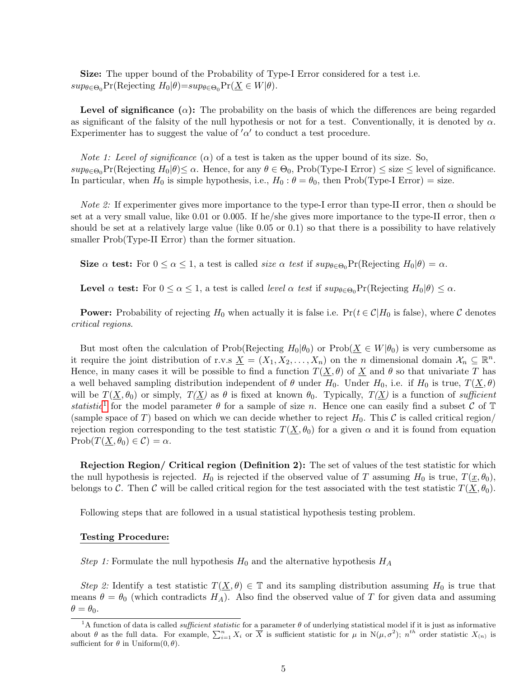Size: The upper bound of the Probability of Type-I Error considered for a test i.e.  $sup_{\theta \in \Theta_0}Pr(\text{Rejecting } H_0 | \theta) = sup_{\theta \in \Theta_0}Pr(\underline{X} \in W | \theta).$ 

**Level of significance**  $(\alpha)$ : The probability on the basis of which the differences are being regarded as significant of the falsity of the null hypothesis or not for a test. Conventionally, it is denoted by  $\alpha$ . Experimenter has to suggest the value of  $\alpha'$  to conduct a test procedure.

*Note 1: Level of significance*  $(\alpha)$  of a test is taken as the upper bound of its size. So,  $sup_{\theta \in \Theta_0}Pr(\text{Rejecting } H_0 | \theta) \leq \alpha$ . Hence, for any  $\theta \in \Theta_0$ , Prob(Type-I Error)  $\leq$  size  $\leq$  level of significance. In particular, when  $H_0$  is simple hypothesis, i.e.,  $H_0: \theta = \theta_0$ , then Prob(Type-I Error) = size.

*Note 2:* If experimenter gives more importance to the type-I error than type-II error, then  $\alpha$  should be set at a very small value, like 0.01 or 0.005. If he/she gives more importance to the type-II error, then  $\alpha$ should be set at a relatively large value (like 0.05 or 0.1) so that there is a possibility to have relatively smaller Prob(Type-II Error) than the former situation.

Size  $\alpha$  test: For  $0 \leq \alpha \leq 1$ , a test is called *size*  $\alpha$  test if  $sup_{\theta \in \Theta_0} Pr(Rejecting H_0 | \theta) = \alpha$ .

**Level**  $\alpha$  test: For  $0 \leq \alpha \leq 1$ , a test is called *level*  $\alpha$  test if  $sup_{\theta \in \Theta_0} Pr(Rejecting H_0 | \theta) \leq \alpha$ .

**Power:** Probability of rejecting  $H_0$  when actually it is false i.e.  $Pr(t \in \mathcal{C}|H_0$  is false), where C denotes critical regions.

But most often the calculation of Prob(Rejecting  $H_0|\theta_0$ ) or Prob( $X \in W|\theta_0$ ) is very cumbersome as it require the joint distribution of r.v.s  $\underline{X} = (X_1, X_2, \ldots, X_n)$  on the *n* dimensional domain  $\mathcal{X}_n \subseteq \mathbb{R}^n$ . Hence, in many cases it will be possible to find a function  $T(\underline{X}, \theta)$  of  $\underline{X}$  and  $\theta$  so that univariate T has a well behaved sampling distribution independent of  $\theta$  under  $H_0$ . Under  $H_0$ , i.e. if  $H_0$  is true,  $T(\underline{X}, \theta)$ will be  $T(\underline{X}, \theta_0)$  or simply,  $T(\underline{X})$  as  $\theta$  is fixed at known  $\theta_0$ . Typically,  $T(\underline{X})$  is a function of sufficient statistic<sup>[1](#page-4-0)</sup> for the model parameter  $\theta$  for a sample of size n. Hence one can easily find a subset C of T (sample space of T) based on which we can decide whether to reject  $H_0$ . This C is called critical region/ rejection region corresponding to the test statistic  $T(\underline{X}, \theta_0)$  for a given  $\alpha$  and it is found from equation  $\text{Prob}(T(\underline{X}, \theta_0) \in \mathcal{C}) = \alpha.$ 

Rejection Region/ Critical region (Definition 2): The set of values of the test statistic for which the null hypothesis is rejected.  $H_0$  is rejected if the observed value of T assuming  $H_0$  is true,  $T(\underline{x}, \theta_0)$ , belongs to C. Then C will be called critical region for the test associated with the test statistic  $T(\underline{X}, \theta_0)$ .

Following steps that are followed in a usual statistical hypothesis testing problem.

### Testing Procedure:

Step 1: Formulate the null hypothesis  $H_0$  and the alternative hypothesis  $H_A$ 

Step 2: Identify a test statistic  $T(\underline{X}, \theta) \in \mathbb{T}$  and its sampling distribution assuming  $H_0$  is true that means  $\theta = \theta_0$  (which contradicts H<sub>A</sub>). Also find the observed value of T for given data and assuming  $\theta = \theta_0$ .

<span id="page-4-0"></span><sup>&</sup>lt;sup>1</sup>A function of data is called *sufficient statistic* for a parameter  $\theta$  of underlying statistical model if it is just as informative about  $\theta$  as the full data. For example,  $\sum_{i=1}^{n} X_i$  or  $\overline{X}$  is sufficient statistic for  $\mu$  in  $N(\mu, \sigma^2)$ ;  $n^{th}$  order statistic  $X_{(n)}$  is sufficient for  $\theta$  in Uniform $(0, \theta)$ .